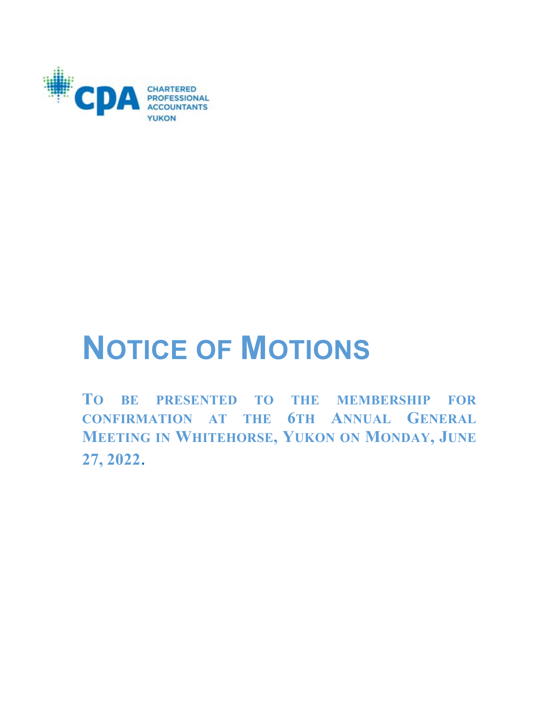

# **NOTICE OF MOTIONS**

**TO BE PRESENTED TO THE MEMBERSHIP FOR CONFIRMATION AT THE 6TH ANNUAL GENERAL MEETING IN WHITEHORSE, YUKON ON MONDAY, JUNE 27, 2022**.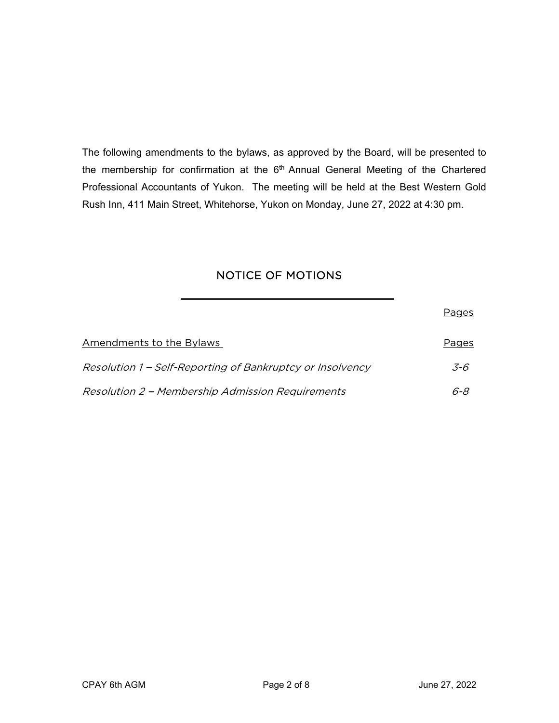The following amendments to the bylaws, as approved by the Board, will be presented to the membership for confirmation at the 6<sup>th</sup> Annual General Meeting of the Chartered Professional Accountants of Yukon. The meeting will be held at the Best Western Gold Rush Inn, 411 Main Street, Whitehorse, Yukon on Monday, June 27, 2022 at 4:30 pm.

# NOTICE OF MOTIONS

|                                                           | Pages        |
|-----------------------------------------------------------|--------------|
| <b>Amendments to the Bylaws</b>                           | <b>Pages</b> |
| Resolution 1 – Self-Reporting of Bankruptcy or Insolvency | 3-6          |
| Resolution 2 – Membership Admission Requirements          | 6-8          |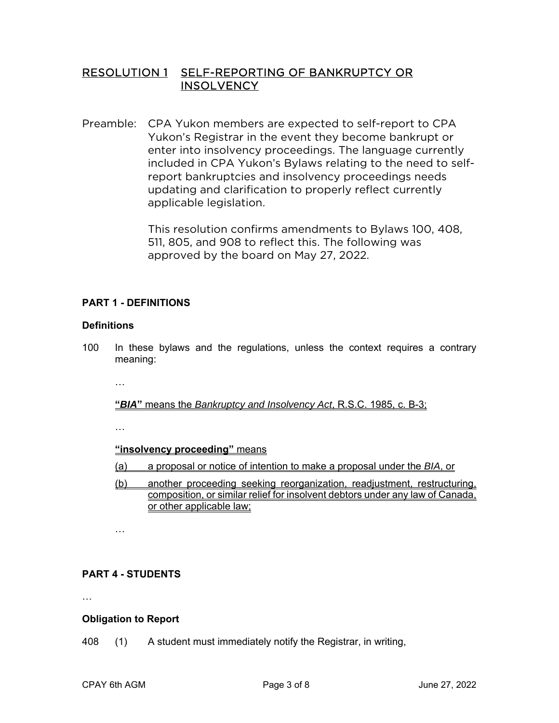# RESOLUTION 1 SELF-REPORTING OF BANKRUPTCY OR **INSOLVENCY**

Preamble: CPA Yukon members are expected to self-report to CPA Yukon's Registrar in the event they become bankrupt or enter into insolvency proceedings. The language currently included in CPA Yukon's Bylaws relating to the need to selfreport bankruptcies and insolvency proceedings needs updating and clarification to properly reflect currently applicable legislation.

> This resolution confirms amendments to Bylaws 100, 408, 511, 805, and 908 to reflect this. The following was approved by the board on May 27, 2022.

# **PART 1 - DEFINITIONS**

#### **Definitions**

- 100 In these bylaws and the regulations, unless the context requires a contrary meaning:
	- …

**"***BIA***"** means the *Bankruptcy and Insolvency Act*, R.S.C. 1985, c. B-3;

…

#### **"insolvency proceeding"** means

- (a) a proposal or notice of intention to make a proposal under the *BIA*, or
- (b) another proceeding seeking reorganization, readjustment, restructuring, composition, or similar relief for insolvent debtors under any law of Canada, or other applicable law;

…

# **PART 4 - STUDENTS**

…

#### **Obligation to Report**

408 (1) A student must immediately notify the Registrar, in writing,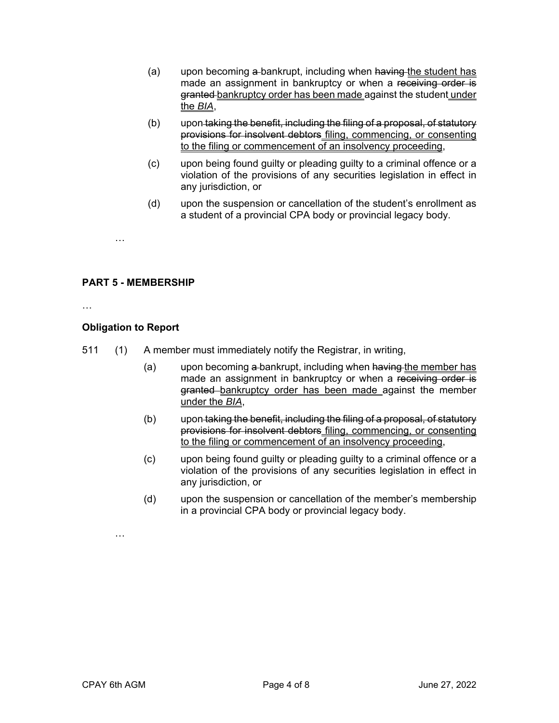- (a) upon becoming a-bankrupt, including when having the student has made an assignment in bankruptcy or when a receiving order is granted bankruptcy order has been made against the student under the *BIA*,
- (b) upon taking the benefit, including the filing of a proposal, of statutory provisions for insolvent debtors filing, commencing, or consenting to the filing or commencement of an insolvency proceeding,
- (c) upon being found guilty or pleading guilty to a criminal offence or a violation of the provisions of any securities legislation in effect in any jurisdiction, or
- (d) upon the suspension or cancellation of the student's enrollment as a student of a provincial CPA body or provincial legacy body.

**PART 5 - MEMBERSHIP** 

…

…

### **Obligation to Report**

- 511 (1) A member must immediately notify the Registrar, in writing,
	- (a) upon becoming a-bankrupt, including when having the member has made an assignment in bankruptcy or when a receiving order is granted bankruptcy order has been made against the member under the *BIA*,
	- (b) upon taking the benefit, including the filing of a proposal, of statutory provisions for insolvent debtors filing, commencing, or consenting to the filing or commencement of an insolvency proceeding,
	- (c) upon being found guilty or pleading guilty to a criminal offence or a violation of the provisions of any securities legislation in effect in any jurisdiction, or
	- (d) upon the suspension or cancellation of the member's membership in a provincial CPA body or provincial legacy body.

CPAY 6th AGM Page 4 of 8 June 27, 2022

…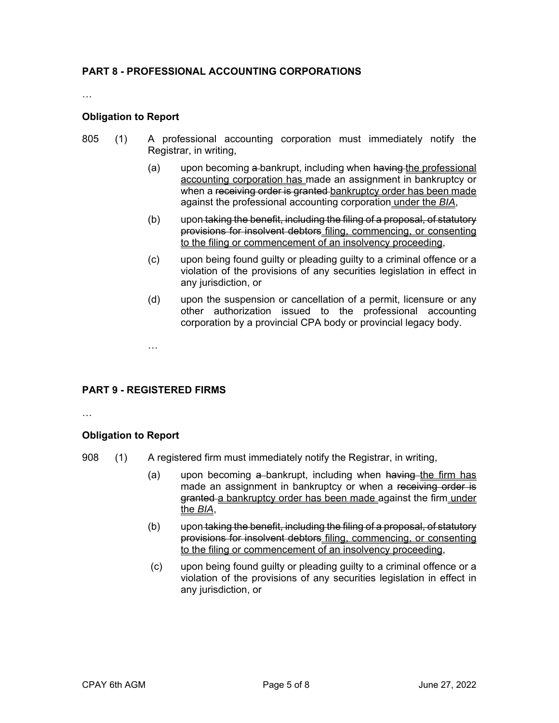#### **PART 8 - PROFESSIONAL ACCOUNTING CORPORATIONS**

…

#### **Obligation to Report**

- 805 (1) A professional accounting corporation must immediately notify the Registrar, in writing,
	- (a) upon becoming a-bankrupt, including when having the professional accounting corporation has made an assignment in bankruptcy or when a receiving order is granted bankruptcy order has been made against the professional accounting corporation under the *BIA*,
	- (b) upon taking the benefit, including the filing of a proposal, of statutory provisions for insolvent debtors filing, commencing, or consenting to the filing or commencement of an insolvency proceeding,
	- (c) upon being found guilty or pleading guilty to a criminal offence or a violation of the provisions of any securities legislation in effect in any jurisdiction, or
	- (d) upon the suspension or cancellation of a permit, licensure or any other authorization issued to the professional accounting corporation by a provincial CPA body or provincial legacy body.

#### **PART 9 - REGISTERED FIRMS**

…

#### **Obligation to Report**

…

- 908 (1) A registered firm must immediately notify the Registrar, in writing,
	- (a) upon becoming  $a$ -bankrupt, including when having the firm has made an assignment in bankruptcy or when a receiving order is granted a bankruptcy order has been made against the firm under the *BIA*,
	- (b) upon taking the benefit, including the filing of a proposal, of statutory provisions for insolvent debtors filing, commencing, or consenting to the filing or commencement of an insolvency proceeding,
	- (c) upon being found guilty or pleading guilty to a criminal offence or a violation of the provisions of any securities legislation in effect in any jurisdiction, or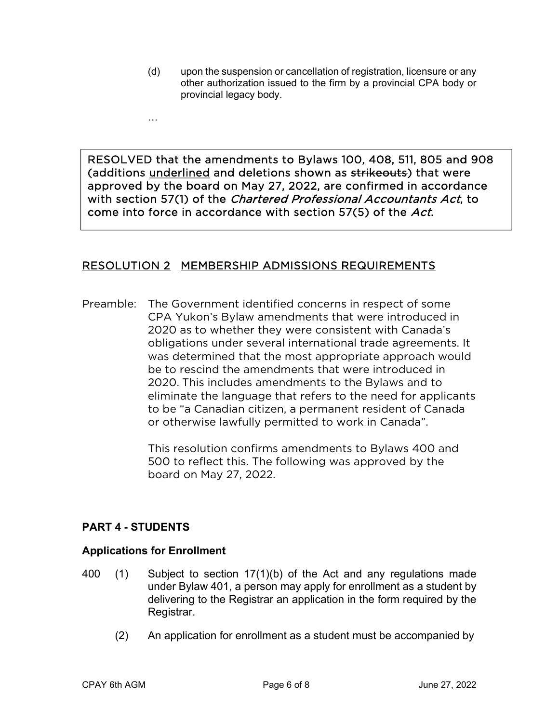(d) upon the suspension or cancellation of registration, licensure or any other authorization issued to the firm by a provincial CPA body or provincial legacy body.

RESOLVED that the amendments to Bylaws 100, 408, 511, 805 and 908 (additions underlined and deletions shown as strikeouts) that were approved by the board on May 27, 2022, are confirmed in accordance with section 57(1) of the Chartered Professional Accountants Act, to come into force in accordance with section 57(5) of the Act.

# RESOLUTION 2 MEMBERSHIP ADMISSIONS REQUIREMENTS

Preamble: The Government identified concerns in respect of some CPA Yukon's Bylaw amendments that were introduced in 2020 as to whether they were consistent with Canada's obligations under several international trade agreements. It was determined that the most appropriate approach would be to rescind the amendments that were introduced in 2020. This includes amendments to the Bylaws and to eliminate the language that refers to the need for applicants to be ''a Canadian citizen, a permanent resident of Canada or otherwise lawfully permitted to work in Canada''.

> This resolution confirms amendments to Bylaws 400 and 500 to reflect this. The following was approved by the board on May 27, 2022.

# **PART 4 - STUDENTS**

…

İ

 $\overline{a}$ 

# **Applications for Enrollment**

- 400 (1) Subject to section 17(1)(b) of the Act and any regulations made under Bylaw 401, a person may apply for enrollment as a student by delivering to the Registrar an application in the form required by the Registrar.
	- (2) An application for enrollment as a student must be accompanied by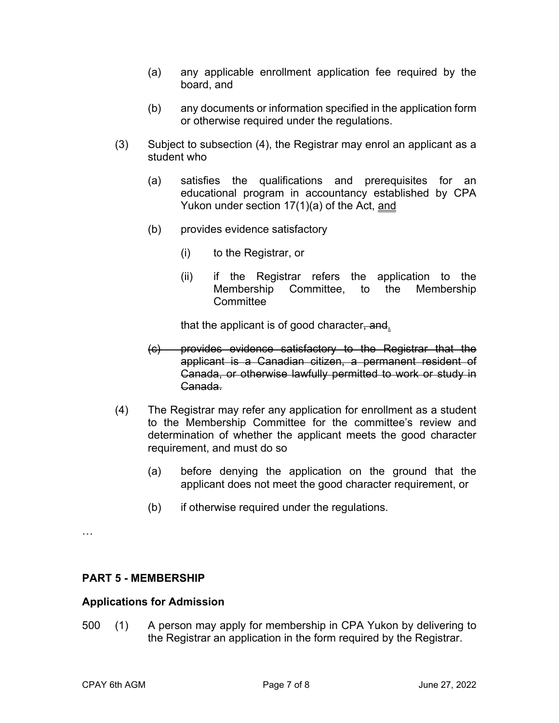- (a) any applicable enrollment application fee required by the board, and
- (b) any documents or information specified in the application form or otherwise required under the regulations.
- (3) Subject to subsection (4), the Registrar may enrol an applicant as a student who
	- (a) satisfies the qualifications and prerequisites for an educational program in accountancy established by CPA Yukon under section 17(1)(a) of the Act, and
	- (b) provides evidence satisfactory
		- (i) to the Registrar, or
		- (ii) if the Registrar refers the application to the Membership Committee, to the Membership **Committee**

that the applicant is of good character, and

- (c) provides evidence satisfactory to the Registrar that the applicant is a Canadian citizen, a permanent resident of Canada, or otherwise lawfully permitted to work or study in Canada.
- (4) The Registrar may refer any application for enrollment as a student to the Membership Committee for the committee's review and determination of whether the applicant meets the good character requirement, and must do so
	- (a) before denying the application on the ground that the applicant does not meet the good character requirement, or
	- (b) if otherwise required under the regulations.

…

#### **PART 5 - MEMBERSHIP**

#### **Applications for Admission**

500 (1) A person may apply for membership in CPA Yukon by delivering to the Registrar an application in the form required by the Registrar.